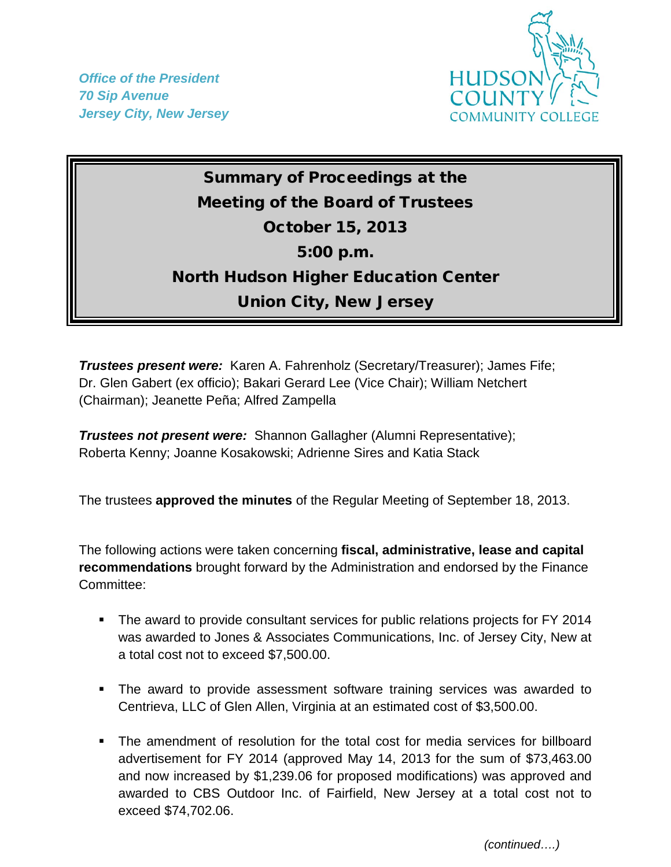*Office of the President 70 Sip Avenue Jersey City, New Jersey*



## Summary of Proceedings at the Meeting of the Board of Trustees October 15, 2013 5:00 p.m. North Hudson Higher Education Center Union City, New Jersey

*Trustees present were:* Karen A. Fahrenholz (Secretary/Treasurer); James Fife; Dr. Glen Gabert (ex officio); Bakari Gerard Lee (Vice Chair); William Netchert (Chairman); Jeanette Peña; Alfred Zampella

*Trustees not present were:* Shannon Gallagher (Alumni Representative); Roberta Kenny; Joanne Kosakowski; Adrienne Sires and Katia Stack

The trustees **approved the minutes** of the Regular Meeting of September 18, 2013.

The following actions were taken concerning **fiscal, administrative, lease and capital recommendations** brought forward by the Administration and endorsed by the Finance Committee:

- The award to provide consultant services for public relations projects for FY 2014 was awarded to Jones & Associates Communications, Inc. of Jersey City, New at a total cost not to exceed \$7,500.00.
- The award to provide assessment software training services was awarded to Centrieva, LLC of Glen Allen, Virginia at an estimated cost of \$3,500.00.
- The amendment of resolution for the total cost for media services for billboard advertisement for FY 2014 (approved May 14, 2013 for the sum of \$73,463.00 and now increased by \$1,239.06 for proposed modifications) was approved and awarded to CBS Outdoor Inc. of Fairfield, New Jersey at a total cost not to exceed \$74,702.06.

 *(continued….)*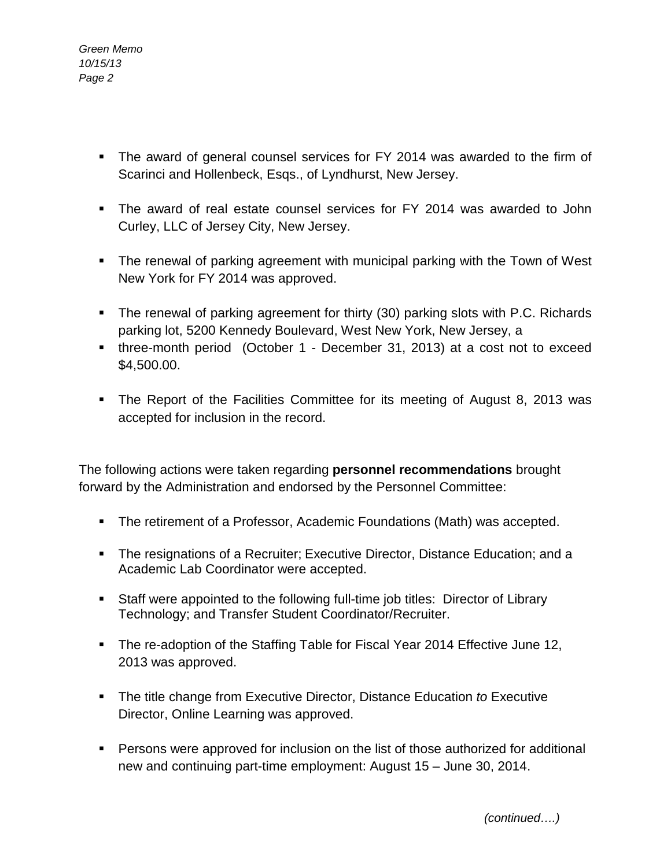- *Green Memo 10/15/13 Page 2*
	- The award of general counsel services for FY 2014 was awarded to the firm of Scarinci and Hollenbeck, Esqs., of Lyndhurst, New Jersey.
	- The award of real estate counsel services for FY 2014 was awarded to John Curley, LLC of Jersey City, New Jersey.
	- The renewal of parking agreement with municipal parking with the Town of West New York for FY 2014 was approved.
	- The renewal of parking agreement for thirty (30) parking slots with P.C. Richards parking lot, 5200 Kennedy Boulevard, West New York, New Jersey, a
	- three-month period (October 1 December 31, 2013) at a cost not to exceed \$4,500.00.
	- The Report of the Facilities Committee for its meeting of August 8, 2013 was accepted for inclusion in the record.

The following actions were taken regarding **personnel recommendations** brought forward by the Administration and endorsed by the Personnel Committee:

- The retirement of a Professor, Academic Foundations (Math) was accepted.
- The resignations of a Recruiter; Executive Director, Distance Education; and a Academic Lab Coordinator were accepted.
- Staff were appointed to the following full-time job titles: Director of Library Technology; and Transfer Student Coordinator/Recruiter.
- The re-adoption of the Staffing Table for Fiscal Year 2014 Effective June 12, 2013 was approved.
- The title change from Executive Director, Distance Education *to* Executive Director, Online Learning was approved.
- Persons were approved for inclusion on the list of those authorized for additional new and continuing part-time employment: August 15 – June 30, 2014.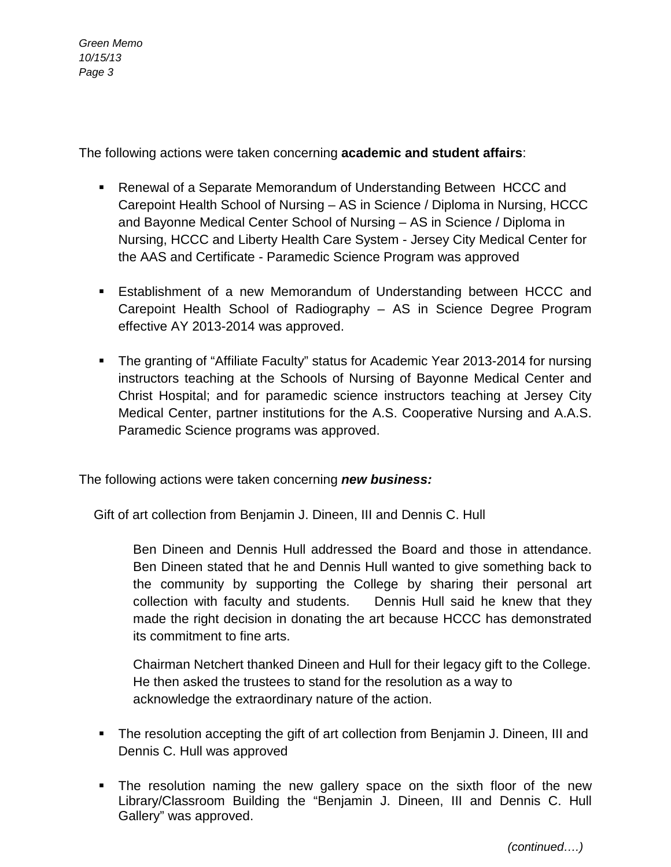*Green Memo 10/15/13 Page 3*

The following actions were taken concerning **academic and student affairs**:

- Renewal of a Separate Memorandum of Understanding Between HCCC and Carepoint Health School of Nursing – AS in Science / Diploma in Nursing, HCCC and Bayonne Medical Center School of Nursing – AS in Science / Diploma in Nursing, HCCC and Liberty Health Care System - Jersey City Medical Center for the AAS and Certificate - Paramedic Science Program was approved
- Establishment of a new Memorandum of Understanding between HCCC and Carepoint Health School of Radiography – AS in Science Degree Program effective AY 2013-2014 was approved.
- The granting of "Affiliate Faculty" status for Academic Year 2013-2014 for nursing instructors teaching at the Schools of Nursing of Bayonne Medical Center and Christ Hospital; and for paramedic science instructors teaching at Jersey City Medical Center, partner institutions for the A.S. Cooperative Nursing and A.A.S. Paramedic Science programs was approved.

The following actions were taken concerning *new business:*

Gift of art collection from Benjamin J. Dineen, III and Dennis C. Hull

Ben Dineen and Dennis Hull addressed the Board and those in attendance. Ben Dineen stated that he and Dennis Hull wanted to give something back to the community by supporting the College by sharing their personal art collection with faculty and students. Dennis Hull said he knew that they made the right decision in donating the art because HCCC has demonstrated its commitment to fine arts.

Chairman Netchert thanked Dineen and Hull for their legacy gift to the College. He then asked the trustees to stand for the resolution as a way to acknowledge the extraordinary nature of the action.

- The resolution accepting the gift of art collection from Benjamin J. Dineen, III and Dennis C. Hull was approved
- The resolution naming the new gallery space on the sixth floor of the new Library/Classroom Building the "Benjamin J. Dineen, III and Dennis C. Hull Gallery" was approved.

 *(continued….)*